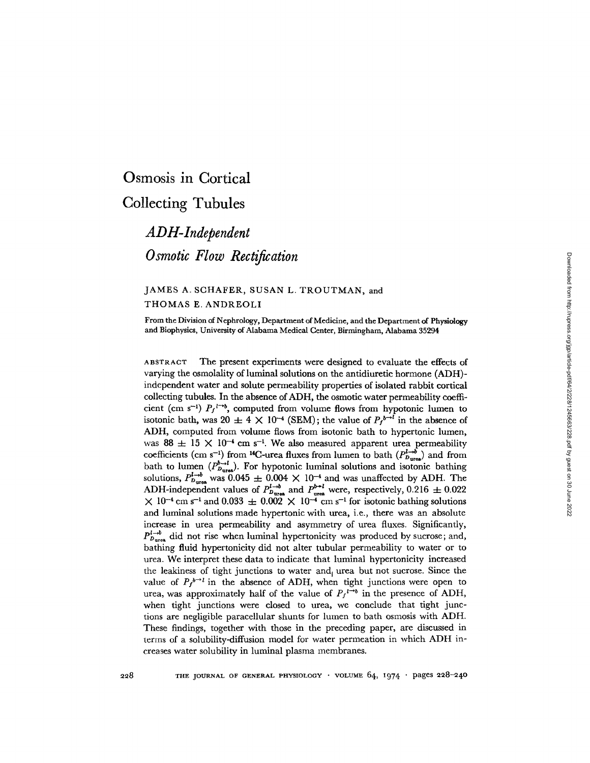# Osmosis in Cortical

## **Collecting Tubules**

*ADH-Independent Osmotic Flow Rectification*

### JAMES A. SCHAFER, SUSAN L. TROUTMAN, and THOMAS E. ANDREOLI

From the Division of Nephrology, Department of Medicine, and the Department of Physiology and Biophysics, University of Alabama Medical Center, Birmingham, Alabama 35294

ABSTRACT The present experiments were designed to evaluate the effects of varying the osmolality of luminal solutions on the antidiuretic hormone (ADH) independent water and solute permeability properties of isolated rabbit cortical collecting tubules. In the absence of ADH, the osmotic water permeability coefficient (cm s<sup>-1</sup>)  $P_f$ <sup>1-+b</sup>, computed from volume flows from hypotonic lumen to isotonic bath, was  $20 \pm 4 \times 10^{-4}$  (SEM); the value of  $P_f^{b\rightarrow l}$  in the absence of ADH, computed from volume flows from isotonic bath to hypertonic lumen, was 88  $\pm$  15 X 10<sup>-4</sup> cm s<sup>-1</sup>. We also measured apparent urea permeability coefficients (cm s<sup>-1</sup>) from <sup>14</sup>C-urea fluxes from lumen to bath  $(P_{D_{\text{ures}}}^{l \rightarrow b})$  and from bath to lumen  $(P_{D_{\text{ures}}}^{b_{\rightarrow l}})$ . For hypotonic luminal solutions and isotonic bathing solutions,  $P_{\text{Dures}}^{I \rightarrow b}$  was 0.045  $\pm$  0.004  $\times$  10<sup>-4</sup> and was unaffected by ADH. The ADH-independent values of  $P_{\text{Dures}}^{l \to b}$  and  $P_{\text{ures}}^{b \to l}$  were, respectively, 0.216  $\pm$  0.022  $\times$  10<sup>-4</sup> cm s<sup>-1</sup> and 0.033  $\pm$  0.002  $\times$  10<sup>-4</sup> cm s<sup>-1</sup> for isotonic bathing solutions and luminal solutions made hypertonic with urea, i.e., there was an absolute increase in urea permeability and asymmetry of urea fluxes. Significantly,  $P_{D_{\text{urra}}}^{l \rightarrow b}$  did not rise when luminal hypertonicity was produced by sucrose; and, bathing fluid hypertonicity did not alter tubular permeability to water or to urea. We interpret these data to indicate that luminal hypertonicity increased the leakiness of tight junctions to water and urea but not sucrose. Since the value of  $P_f^{b\rightarrow l}$  in the absence of ADH, when tight junctions were open to urea, was approximately half of the value of  $P_f^{\mu\rightarrow b}$  in the presence of ADH, when tight junctions were closed to urea, we conclude that tight junctions are negligible paracellular shunts for lumen to bath osmosis with ADH. These findings, together with those in the preceding paper, are discussed in terms of a solubility-diffusion model for water permeation in which ADH increases water solubility in luminal plasma membranes.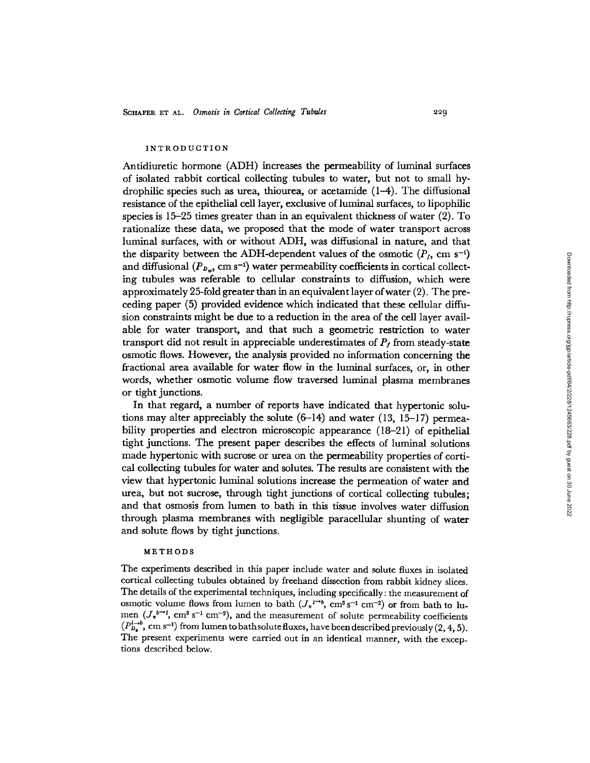#### INTRODUCTION

Antidiuretic hormone (ADH) increases the permeability of luminal surfaces of isolated rabbit cortical collecting tubules to water, but not to small hydrophilic species such as urea, thiourea, or acetamide  $(1-4)$ . The diffusional resistance of the epithelial cell layer, exclusive of luminal surfaces, to lipophilic species is 15-25 times greater than in an equivalent thickness of water (2). To rationalize these data, we proposed that the mode of water transport across luminal surfaces, with or without ADH, was diffusional in nature, and that the disparity between the ADH-dependent values of the osmotic  $(P_f, \text{ cm s}^{-1})$ and diffusional  $(P_{b_v}, \text{ cm s}^{-1})$  water permeability coefficients in cortical collecting tubules was referable to cellular constraints to diffusion, which were approximately 25-fold greater than in an equivalent layer of water (2). The preceding paper (5) provided evidence which indicated that these cellular diffusion constraints might be due to a reduction in the area of the cell layer available for water transport, and that such a geometric restriction to water transport did not result in appreciable underestimates of  $P<sub>f</sub>$  from steady-state osmotic flows. However, the analysis provided no information concerning the fractional area available for water flow in the luminal surfaces, or, in other words, whether osmotic volume flow traversed luminal plasma membranes or tight junctions.

In that regard, a number of reports have indicated that hypertonic solutions may alter appreciably the solute  $(6-14)$  and water  $(13, 15-17)$  permeability properties and electron microscopic appearance (18-21) of epithelial tight junctions. The present paper describes the effects of luminal solutions made hypertonic with sucrose or urea on the permeability properties of cortical collecting tubules for water and solutes. The results are consistent with the view that hypertonic luminal solutions increase the permeation of water and urea, but not sucrose, through tight junctions of cortical collecting tubules; and that osmosis from lumen to bath in this tissue involves water diffusion through plasma membranes with negligible paracellular shunting of water and solute flows by tight junctions.

#### **METHODS**

The experiments described in this paper include water and solute fluxes in isolated cortical collecting tubules obtained by freehand dissection from rabbit kidney slices. The details of the experimental techniques, including specifically: the measurement of osmotic volume flows from lumen to bath  $(J_v l^{-b}, \text{ cm}^3 \text{ s}^{-1} \text{ cm}^{-2})$  or from bath to lumen  $(J_v^{b\rightarrow l}, \text{ cm}^3 \text{ s}^{-1} \text{ cm}^{-2})$ , and the measurement of solute permeability coefficients  $(P_{D_{\bullet}}^{l\rightarrow b},\,{\rm cm\,s^{-1}})$  from lumen to bathsolute fluxes, have been described previously (2, 4, 5). The present experiments were carried out in an identical manner, with the exceptions described below.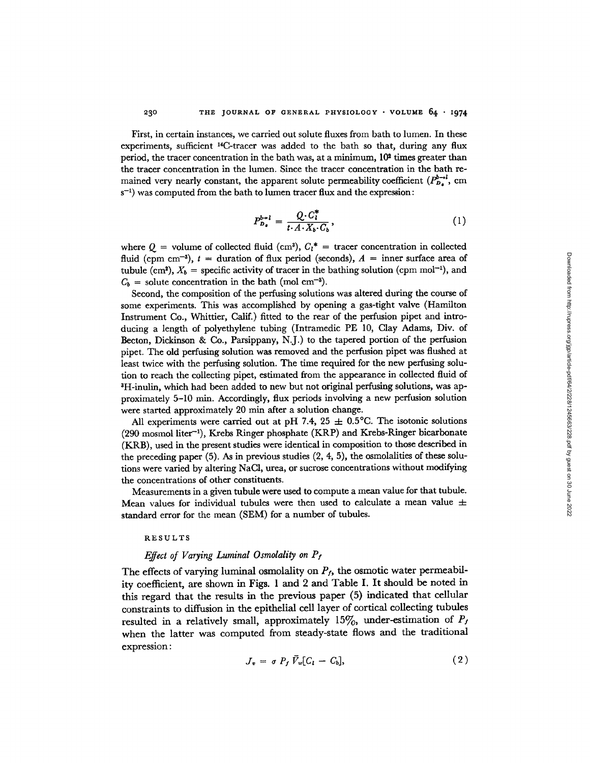First, in certain instances, we carried out solute fluxes from bath to lumen. In these experiments, sufficient <sup>14</sup>C-tracer was added to the bath so that, during any flux period, the tracer concentration in the bath was, at a minimum,  $10<sup>2</sup>$  times greater than the tracer concentration in the lumen. Since the tracer concentration in the bath remained very nearly constant, the apparent solute permeability coefficient  $(P_D^{b-1}, \text{ cm})$  $s^{-1}$ ) was computed from the bath to lumen tracer flux and the expression:

$$
P_{\boldsymbol{D}_{\bullet}}^{b\rightarrow l} = \frac{Q \cdot C_{l}^{*}}{t \cdot A \cdot X_{b} \cdot C_{b}},\tag{1}
$$

where  $Q =$  volume of collected fluid (cm<sup>3</sup>),  $C_l^* =$  tracer concentration in collected fluid (cpm cm<sup>-3</sup>),  $t =$  duration of flux period (seconds),  $A =$  inner surface area of tubule (cm<sup>2</sup>),  $X_b$  = specific activity of tracer in the bathing solution (cpm mol<sup>-1</sup>), and  $C_b$  = solute concentration in the bath (mol cm<sup>-3</sup>).

Second, the composition of the perfusing solutions was altered during the course of some experiments. This was accomplished by opening a gas-tight valve (Hamilton Instrument Co., Whittier, Calif.) fitted to the rear of the perfusion pipet and introducing a length of polyethylene tubing (Intramedic PE 10, Clay Adams, Div. of Becton, Dickinson & Co., Parsippany, N.J.) to the tapered portion of the perfusion pipet. The old perfusing solution was removed and the perfusion pipet was flushed at least twice with the perfusing solution. The time required for the new perfusing solution to reach the collecting pipet, estimated from the appearance in collected fluid of H-inulin, which had been added to new but not original perfusing solutions, was approximately 5-10 min. Accordingly, flux periods involving a new perfusion solution were started approximately 20 min after a solution change.

All experiments were carried out at pH 7.4, 25  $\pm$  0.5°C. The isotonic solutions (290 mosmol liter-l), Krebs Ringer phosphate (KRP) and Krebs-Ringer bicarbonate (KRB), used in the present studies were identical in composition to those described in the preceding paper  $(5)$ . As in previous studies  $(2, 4, 5)$ , the osmolalities of these solutions were varied by altering NaCl, urea, or sucrose concentrations without modifying the concentrations of other constituents.

Measurements in a given tubule were used to compute a mean value for that tubule. Mean values for individual tubules were then used to calculate a mean value  $\pm$ standard error for the mean (SEM) for a number of tubules.

#### RESULTS

230

#### *Effect of Varying Luminal Osmolality on Pf*

The effects of varying luminal osmolality on  $P_f$ , the osmotic water permeability coefficient, are shown in Figs. 1 and 2 and Table I. It should be noted in this regard that the results in the previous paper (5) indicated that cellular constraints to diffusion in the epithelial cell layer of cortical collecting tubules resulted in a relatively small, approximately  $15\%$ , under-estimation of  $P_I$ when the latter was computed from steady-state flows and the traditional expression:

$$
J_v = \sigma P_f \bar{V}_w [C_l - C_b], \qquad (2)
$$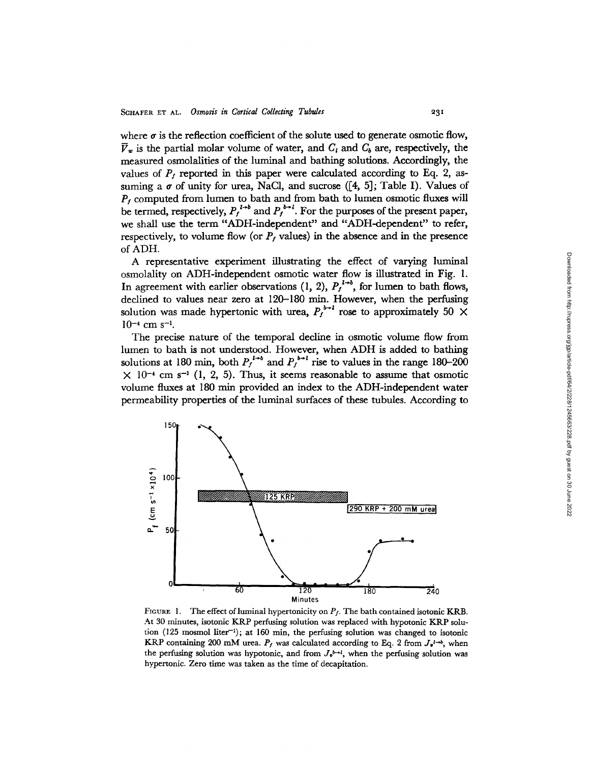where  $\sigma$  is the reflection coefficient of the solute used to generate osmotic flow,  $\overline{V}_w$  is the partial molar volume of water, and  $C_l$  and  $C_b$  are, respectively, the measured osmolalities of the luminal and bathing solutions. Accordingly, the values of  $P_f$  reported in this paper were calculated according to Eq. 2, assuming a  $\sigma$  of unity for urea, NaCl, and sucrose ([4, 5]; Table I). Values of  $P_f$  computed from lumen to bath and from bath to lumen osmotic fluxes will be termed, respectively,  $P_f^{l\rightarrow b}$  and  $P_f^{b\rightarrow l}$ . For the purposes of the present paper, we shall use the term "ADH-independent" and "ADH-dependent" to refer, respectively, to volume flow (or  $P_f$  values) in the absence and in the presence of ADH.

A representative experiment illustrating the effect of varying luminal osmolality on ADH-independent osmotic water flow is illustrated in Fig. 1. In agreement with earlier observations  $(1, 2)$ ,  $P_f^{l\rightarrow b}$ , for lumen to bath flows, declined to values near zero at 120-180 min. However, when the perfusing solution was made hypertonic with urea,  $P_f^{b+l}$  rose to approximately 50  $\times$  $10^{-4}$  cm s<sup>-1</sup>.

The precise nature of the temporal decline in osmotic volume flow from lumen to bath is not understood. However, when ADH is added to bathing solutions at 180 min, both  $P_f^{l \rightarrow b}$  and  $P_f^{b \rightarrow l}$  rise to values in the range 180-200  $\times$  10<sup>-4</sup> cm s<sup>-1</sup> (1, 2, 5). Thus, it seems reasonable to assume that osmotic volume fluxes at 180 min provided an index to the ADH-independent water permeability properties of the luminal surfaces of these tubules. According to



FIGURE 1. The effect of luminal hypertonicity on  $P_f$ . The bath contained isotonic KRB. At 30 minutes, isotonic KRP perfusing solution was replaced with hypotonic KRP solution  $(125 \text{ mosh})$  liter<sup>-1</sup>); at 160 min, the perfusing solution was changed to isotonic KRP containing 200 mM urea.  $P_f$  was calculated according to Eq. 2 from  $J_{\nu}^{1\rightarrow\lambda}$ , when the perfusing solution was hypotonic, and from  $J_{\nu}^{b\rightarrow l}$ , when the perfusing solution was hypertonic. Zero time was taken as the time of decapitation.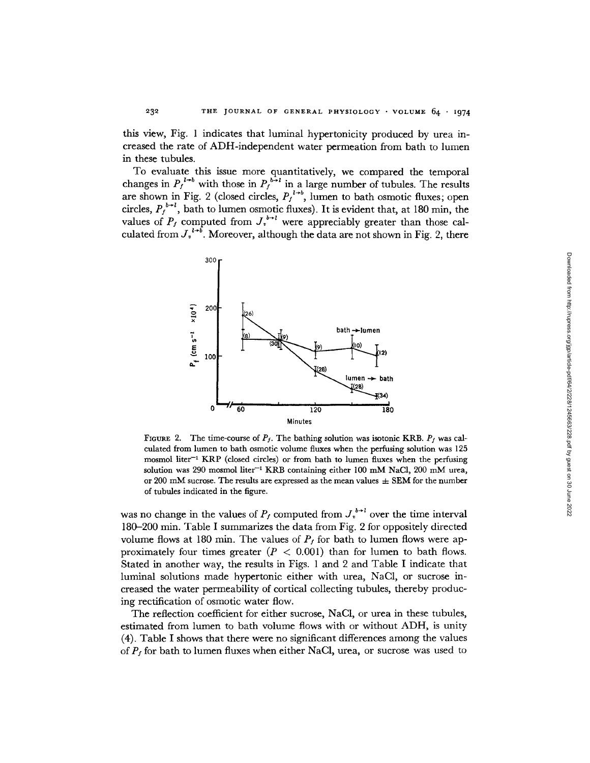this view, Fig. 1 indicates that luminal hypertonicity produced by urea increased the rate of ADH-independent water permeation from bath to lumen in these tubules.

To evaluate this issue more quantitatively, we compared the temporal changes in  $P_f^{l \to b}$  with those in  $P_f^{b \to l}$  in a large number of tubules. The results are shown in Fig. 2 (closed circles,  $P_f^{I\rightarrow b}$ , lumen to bath osmotic fluxes; open circles,  $P_f^{b+l}$ , bath to lumen osmotic fluxes). It is evident that, at 180 min, the values of  $P_f$  computed from  $J_i^{b+1}$  were appreciably greater than those calculated from  $J_v^{l+\delta}$ . Moreover, although the data are not shown in Fig. 2, there



FIGURE 2. The time-course of  $P_f$ . The bathing solution was isotonic KRB.  $P_f$  was calculated from lumen to bath osmotic volume fluxes when the perfusing solution was 125 mosmol liter<sup>-1</sup> KRP (closed circles) or from bath to lumen fluxes when the perfusing solution was 290 mosmol liter<sup>-1</sup> KRB containing either 100 mM NaCl, 200 mM urea, or 200 mM sucrose. The results are expressed as the mean values  $\pm$  SEM for the number of tubules indicated in the figure.

was no change in the values of  $P_f$  computed from  $J_v^{b\rightarrow l}$  over the time interval 180-200 min. Table I summarizes the data from Fig. 2 for oppositely directed volume flows at 180 min. The values of  $P_f$  for bath to lumen flows were approximately four times greater  $(P < 0.001)$  than for lumen to bath flows. Stated in another way, the results in Figs. 1 and 2 and Table I indicate that luminal solutions made hypertonic either with urea, NaC1, or sucrose increased the water permeability of cortical collecting tubules, thereby producing rectification of osmotic water flow.

The reflection coefficient for either sucrose, NaCi, or urea in these tubules, estimated from lumen to bath volume flows with or without ADH, is unity (4). Table I shows that there were no significant differences among the values of  $P_f$  for bath to lumen fluxes when either NaCl, urea, or sucrose was used to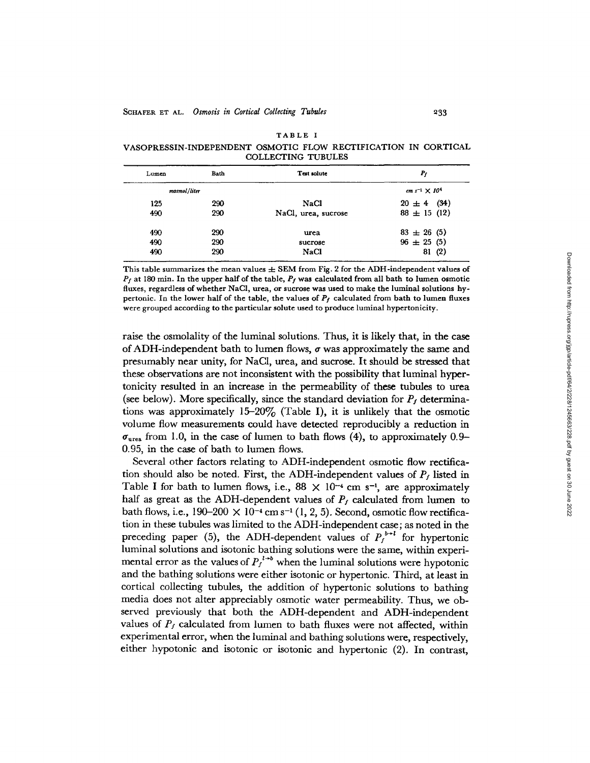VASOPRESSIN-INDEPENDENT OSMOTIC FLOW RECTIFICATION IN CORTICAL COLLECTING TUBULES

| Lumen        | Bath | Test solute         | $P_f$                     |  |
|--------------|------|---------------------|---------------------------|--|
| mosmol/liter |      |                     | $cm s^{-1} \times 10^{4}$ |  |
| 125          | 290  | <b>NaCl</b>         | $20 \pm 4$ (34)           |  |
| 490          | 290  | NaCl, urea, sucrose | $88 \pm 15(12)$           |  |
| 490          | 290  | urea                | $83 \pm 26$ (5)           |  |
| 490          | 290  | sucrose             | $96 \pm 25$ (5)           |  |
| 490          | 290  | <b>NaCl</b>         | 81(2)                     |  |

This table summarizes the mean values  $\pm$  SEM from Fig. 2 for the ADH-independent values of  $P_f$  at 180 min. In the upper half of the table,  $P_f$  was calculated from all bath to lumen osmotic fluxes, regardless of whether NaCI, urea, **or sucrose** was used to make the luminal solutions hypertonic. In the lower half of the table, the values of *Pf* calculated from bath to lumen fluxes were grouped according to the particular solute used to produce luminal hypertonicity.

raise the osmolality of the luminal solutions. Thus, it is likely that, in the case of ADH-independent bath to lumen flows,  $\sigma$  was approximately the same and presumably near unity, for NaCl, urea, and sucrose. It should be stressed that these observations are not inconsistent with the possibility that luminal hypertonicity resulted in an increase in the permeability of these tubules to urea (see below). More specifically, since the standard deviation for  $P_t$  determinations was approximately  $15-20\%$  (Table I), it is unlikely that the osmotic volume flow measurements could have detected reproducibly a reduction in  $\sigma_{\text{ures}}$  from 1.0, in the case of lumen to bath flows (4), to approximately 0.9-0.95, in the case of bath to lumen flows.

Several other factors relating to ADH-independent osmotic flow rectification should also be noted. First, the ADH-independent values of  $P_f$  listed in Table I for bath to lumen flows, i.e.,  $88 \times 10^{-4}$  cm s<sup>-1</sup>, are approximately half as great as the ADH-dependent values of  $P_t$  calculated from lumen to bath flows, i.e.,  $190-200 \times 10^{-4}$  cm s<sup>-1</sup> (1, 2, 5). Second, osmotic flow rectification in these tubules was limited to the ADH-independent case; as noted in the preceding paper (5), the ADH-dependent values of  $P_t^{b+1}$  for hypertonic luminal solutions and isotonic bathing solutions were the same, within experimental error as the values of  $P_f^{l\rightarrow b}$  when the luminal solutions were hypotonic and the bathing solutions were either isotonic or hypertonic. Third, at least in cortical collecting tubules, the addition of hypertonic solutions to bathing media does not alter appreciably osmotic water permeability. Thus, we observed previously that both the ADH-dependent and ADH-independent values of  $P_f$  calculated from lumen to bath fluxes were not affected, within experimental error, when the luminal and bathing solutions were, respectively, either hypotonic and isotonic or isotonic and hypertonic (2). In contrast,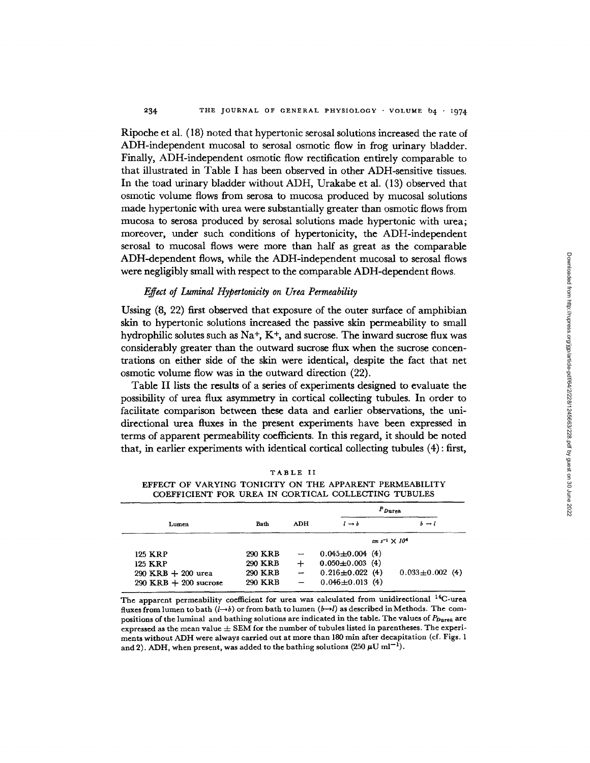Ripoche et al. (18) noted that hypertonic serosal solutions increased the rate of ADH-independent mucosal to serosal osmotic flow in frog urinary bladder. Finally, ADH-independent osmotic flow rectification entirely comparable to that illustrated in Table I has been observed in other ADH-sensitive tissues. In the toad urinary bladder without ADH, Urakabe et al. (13) observed that osmotic volume flows from serosa to mucosa produced by mucosal solutions made hypertonic with urea were substantially greater than osmotic flows from mucosa to serosa produced by serosal solutions made hypertonic with urea; moreover, under such conditions of hypertonicity, the ADH-independent serosal to mucosal flows were more than half as great as the comparable ADH-dependent flows, while the ADH-independent mucosal to serosal flows were negligibly small with respect to the comparable ADH-dependent flows.

#### *Effect of Luminal Hypertonicity on Urea Permeability*

Ussing (8, 22) first observed that exposure of the outer surface of amphibian skin to hypertonic solutions increased the passive skin permeability to small hydrophilic solutes such as  $\mathrm{Na^+}$ ,  $\mathrm{K^+}$ , and sucrose. The inward sucrose flux was considerably greater than the outward sucrose flux when the sucrose concentrations on either side of the skin were identical, despite the fact that net osmotic volume flow was in the outward direction (22).

Table II lists the results of a series of experiments designed to evaluate the possibility of urea flux asymmetry in cortical collecting tubules. In order to facilitate comparison between these data and earlier observations, the unidirectional urea fluxes in the present experiments have been expressed in terms of apparent permeability coefficients. In this regard, it should be noted that, in earlier experiments with identical cortical collecting tubules (4): first,

|  | COEFFICIENT FOR UREA IN CORTICAL COLLECTING TUBULES |             |     |                       |                           |                       |  |  |  |  |  |
|--|-----------------------------------------------------|-------------|-----|-----------------------|---------------------------|-----------------------|--|--|--|--|--|
|  |                                                     |             |     | $P_{\text{Dures}}$    |                           |                       |  |  |  |  |  |
|  | Lumen                                               | <b>Bath</b> | ADH | $l \rightarrow b$     |                           | $b \rightarrow l$     |  |  |  |  |  |
|  |                                                     |             |     |                       | $cm s^{-1} \times 10^{4}$ |                       |  |  |  |  |  |
|  | 125 KRP                                             | 290 KRB     |     | $0.045 \pm 0.004$ (4) |                           |                       |  |  |  |  |  |
|  | 125 KRP                                             | 290 KRB     | ┿   | $0.050 \pm 0.003$ (4) |                           |                       |  |  |  |  |  |
|  | $290$ KRB $+200$ urea                               | 290 KRB     | --  | $0.216 \pm 0.022$ (4) |                           | $0.033 \pm 0.002$ (4) |  |  |  |  |  |
|  | $290$ KRB $+200$ sucrose                            | 290 KRB     |     | $0.046 \pm 0.013$ (4) |                           |                       |  |  |  |  |  |

TABLE II

EFFECT OF VARYING TONICITY ON THE APPARENT PERMEABILITY COEFFICIENT FOR UREA IN CORTICAL COLLECTING TUBULES

The apparent permeability coefficient for urea was calculated from unidirectional <sup>14</sup>C-urea fluxes from lumen to bath *(1-\*b)* or from bath to lumen *(b-1)* as described in Methods. The compositions of the luminal and bathing solutions are indicated in the table. The values of  $P_{\text{Dures}}$  are expressed as the mean value  $\pm$  SEM for the number of tubules listed in parentheses. The experiments without ADH were always carried out at more than 180 min after decapitation (cf. Figs. 1 and 2). ADH, when present, was added to the bathing solutions (250  $\mu$ U ml<sup>-1</sup>).

 $290$  KRB  $+200$  sucrose

Downloaded from http://rupress.org/jgp/article-pdf/64/2/228/1245663/228.pdf by guest on 30 June 2022 Downloaded from http://rupress.org/jgp/article-pdf/64/2/228/1245663/228.pdf by guest on 30 June 2022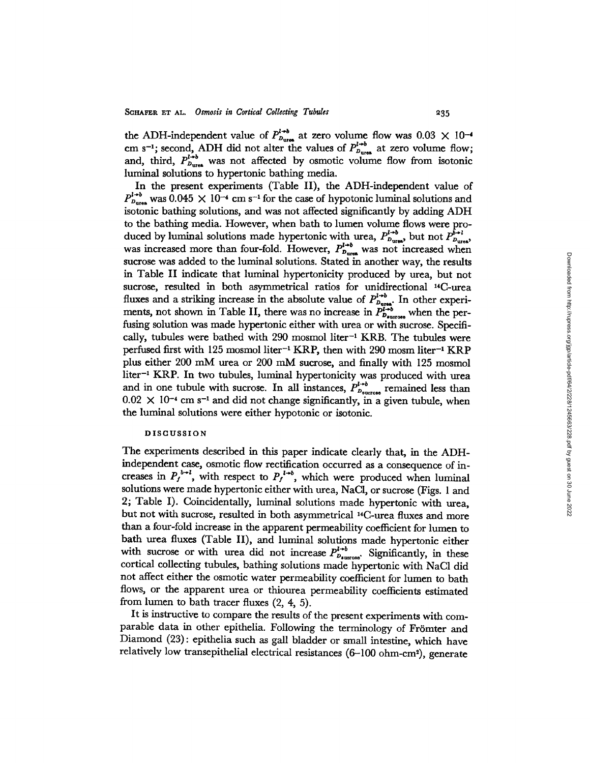the ADH-independent value of  $P_{b_{\text{ures}}}^{l\rightarrow o}$  at zero volume flow was  $0.03 \times 10^{-4}$ cm s<sup>-1</sup>; second, ADH did not alter the values of  $P_{p_{\text{ures}}}^{l\rightarrow p}$  at zero volume flow; and, third,  $P_{D_{\text{ures}}}^{t\rightarrow0}$  was not affected by osmotic volume flow from isotonic luminal solutions to hypertonic bathing media.

In the present experiments (Table II), the ADH-independent value of  $P_{D_{\text{ures}}}^{l \rightarrow b}$  was  $0.045 \times 10^{-4}$  cm s<sup>-1</sup> for the case of hypotonic luminal solutions and isotonic bathing solutions, and was not affected significantly by adding ADH to the bathing media. However, when bath to lumen volume flows were produced by luminal solutions made hypertonic with urea,  $P_{D_{\text{ures}}}^{l \rightarrow b}$  but not  $P_{D}^{b}$ was increased more than four-fold. However,  $P_{D_{\text{ures}}}^{I^{+0}}$  was not increased when sucrose was added to the luminal solutions. Stated in another way, the results in Table II indicate that luminal hypertonicity produced by urea, but not sucrose, resulted in both asymmetrical ratios for unidirectional "4C-urea fluxes and a striking increase in the absolute value of  $P_{D_{\text{args}}}^{l \rightarrow b}$ . In other experiments, not shown in Table II, there was no increase in  $P_{D_{\text{average}}}^{i \rightarrow b}$  when the perfusing solution was made hypertonic either with urea or with sucrose. Specifically, tubules were bathed with  $290$  mosmol liter<sup>-1</sup> KRB. The tubules were perfused first with 125 mosmol liter-' KRP, then with 290 mosm liter-' KRP plus either 200 mM urea or 200 mM sucrose, and finally with 125 mosmol liter<sup>-1</sup> KRP. In two tubules, luminal hypertonicity was produced with urea and in one tubule with sucrose. In all instances,  $P_{D_{\text{success}}}^{l \to b}$  remained less than  $0.02 \times 10^{-4}$  cm s<sup>-1</sup> and did not change significantly, in a given tubule, when the luminal solutions were either hypotonic or isotonic.

#### **DISCUSSION**

The experiments described in this paper indicate clearly that, in the ADHindependent case, osmotic flow rectification occurred as a consequence of increases in  $P_f^{b-l}$ , with respect to  $P_f^{l+b}$ , which were produced when luminal solutions were made hypertonic either with urea, NaCI, or sucrose (Figs. 1 and 2; Table I). Coincidentally, luminal solutions made hypertonic with urea, but not with sucrose, resulted in both asymmetrical '4C-urea fluxes and more than a four-fold increase in the apparent permeability coefficient for lumen to bath urea fluxes (Table II), and luminal solutions made hypertonic either with sucrose or with urea did not increase  $P_{D_{\text{surrose}}}^{l \to b}$ . Significantly, in these cortical collecting tubules, bathing solutions made hypertonic with NaCl did not affect either the osmotic water permeability coefficient for lumen to bath flows, or the apparent urea or thiourea permeability coefficients estimated from lumen to bath tracer fluxes (2, 4, 5).

It is instructive to compare the results of the present experiments with comparable data in other epithelia. Following the terminology of Frömter and Diamond (23): epithelia such as gall bladder or small intestine, which have relatively low transepithelial electrical resistances (6-100 ohm-cm<sup>2</sup>), generate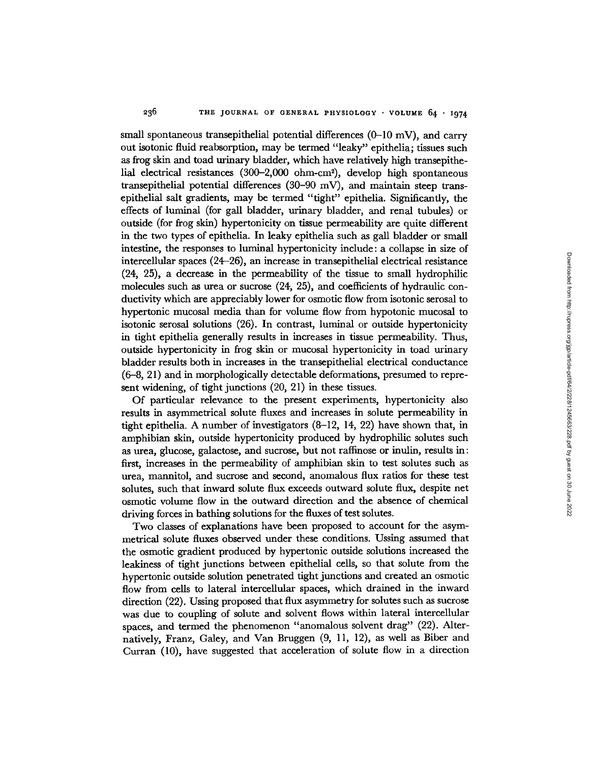small spontaneous transepithelial potential differences  $(0-10 \text{ mV})$ , and carry out isotonic fluid reabsorption, may be termed "leaky" epithelia; tissues such as frog skin and toad urinary bladder, which have relatively high transepithelial electrical resistances (300-2,000 ohm-cm2), develop high spontaneous transepithelial potential differences (30-90 mV), and maintain steep transepithelial salt gradients, may be termed "tight" epithelia. Significantly, the effects of luminal (for gall bladder, urinary bladder, and renal tubules) or outside (for frog skin) hypertonicity on tissue permeability are quite different in the two types of epithelia. In leaky epithelia such as gall bladder or small intestine, the responses to luminal hypertonicity include: a collapse in size of intercellular spaces (24-26), an increase in transepithelial electrical resistance (24, 25), a decrease in the permeability of the tissue to small hydrophilic molecules such as urea or sucrose (24, 25), and coefficients of hydraulic conductivity which are appreciably lower for osmotic flow from isotonic serosal to hypertonic mucosal media than for volume flow from hypotonic mucosal to isotonic serosal solutions (26). In contrast, luminal or outside hypertonicity in tight epithelia generally results in increases in tissue permeability. Thus, outside hypertonicity in frog skin or mucosal hypertonicity in toad urinary bladder results both in increases in the transepithelial electrical conductance (6-8, 21) and in morphologically detectable deformations, presumed to represent widening, of tight junctions (20, 21) in these tissues.

Of particular relevance to the present experiments, hypertonicity also results in asymmetrical solute fluxes and increases in solute permeability in tight epithelia. A number of investigators (8-12, 14, 22) have shown that, in amphibian skin, outside hypertonicity produced by hydrophilic solutes such as urea, glucose, galactose, and sucrose, but not raffinose or inulin, results in: first, increases in the permeability of amphibian skin to test solutes such as urea, mannitol, and sucrose and second, anomalous flux ratios for these test solutes, such that inward solute flux exceeds outward solute flux, despite net osmotic volume flow in the outward direction and the absence of chemical driving forces in bathing solutions for the fluxes of test solutes.

Two classes of explanations have been proposed to account for the asymmetrical solute fluxes observed under these conditions. Ussing assumed that the osmotic gradient produced by hypertonic outside solutions increased the leakiness of tight junctions between epithelial cells, so that solute from the hypertonic outside solution penetrated tight junctions and created an osmotic flow from cells to lateral intercellular spaces, which drained in the inward direction (22). Ussing proposed that flux asymmetry for solutes such as sucrose was due to coupling of solute and solvent flows within lateral intercellular spaces, and termed the phenomenon "anomalous solvent drag" (22). Alternatively, Franz, Galey, and Van Bruggen (9, 11, 12), as well as Biber and Curran (10), have suggested that acceleration of solute flow in a direction Downloaded from http://rupress.org/jgp/article-pdf/64/2/228/1245663/228.pdf by guest on 30 June 2022 Downloaded from http://rupress.org/jgp/article-pdf/64/2/228/1245663/228.pdf by guest on 30 June 2022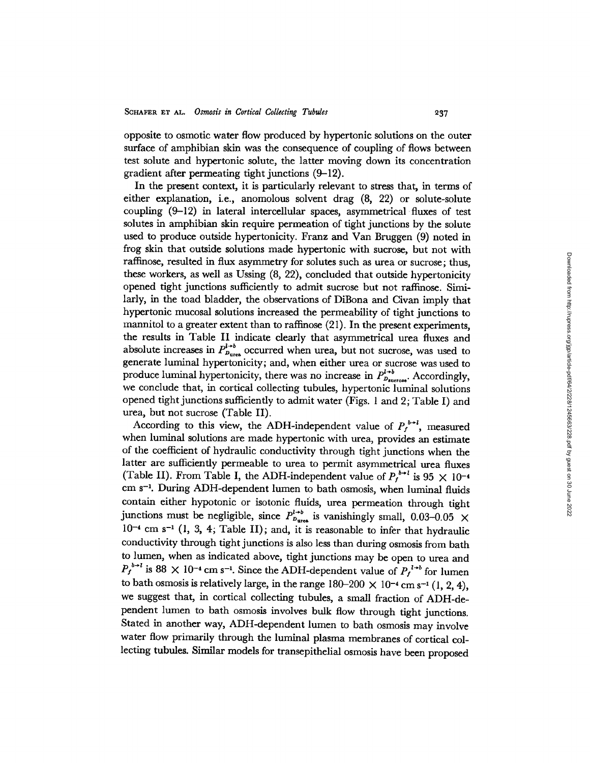opposite to osmotic water flow produced by hypertonic solutions on the outer surface of amphibian skin was the consequence of coupling of flows between test solute and hypertonic solute, the latter moving down its concentration gradient after permeating tight junctions (9-12).

In the present context, it is particularly relevant to stress that, in terms of either explanation, i.e., anomolous solvent drag (8, 22) or solute-solute coupling (9-12) in lateral intercellular spaces, asymmetrical fluxes of test solutes in amphibian skin require permeation of tight junctions by the solute used to produce outside hypertonicity. Franz and Van Bruggen (9) noted in frog skin that outside solutions made hypertonic with sucrose, but not with raffinose, resulted in flux asymmetry for solutes such as urea or sucrose; thus, these workers, as well as Ussing (8, 22), concluded that outside hypertonicity opened tight junctions sufficiently to admit sucrose but not raffinose. Similarly, in the toad bladder, the observations of DiBona and Civan imply that hypertonic mucosal solutions increased the permeability of tight junctions to mannitol to a greater extent than to raffinose (21). In the present experiments, the results in Table II indicate clearly that asymmetrical urea fluxes and absolute increases in  $P_{p_{\text{ures}}}^{l+b}$  occurred when urea, but not sucrose, was used to generate luminal hypertonicity; and, when either urea or sucrose was used to produce luminal hypertonicity, there was no increase in  $P_{D_{\text{success}}}^{l \to b}$ . Accordingly, we conclude that, in cortical collecting tubules, hypertonic luminal solutions opened tight junctions sufficiently to admit water (Figs. 1 and 2; Table I) and urea, but not sucrose (Table II).

According to this view, the ADH-independent value of  $P_f^{b-i}$ , measured when luminal solutions are made hypertonic with urea, provides an estimate of the coefficient of hydraulic conductivity through tight junctions when the latter are sufficiently permeable to urea to permit asymmetrical urea fluxes (Table II). From Table I, the ADH-independent value of  $P_f^{b\rightarrow l}$  is 95  $\times$  10<sup>-4</sup> cm s<sup>-1</sup>. During ADH-dependent lumen to bath osmosis, when luminal fluids contain either hypotonic or isotonic fluids, urea permeation through tight junctions must be negligible, since  $P_{D_{\text{at}} }^{l \to b}$  is vanishingly small, 0.03-0.05  $\times$  $10^{-4}$  cm s<sup>-1</sup> (1, 3, 4; Table II); and, it is reasonable to infer that hydraulic conductivity through tight junctions is also less than during osmosis from bath to lumen, when as indicated above, tight junctions may be open to urea and  $P_f^{b\rightarrow l}$  is 88  $\times$  10<sup>-4</sup> cm s<sup>-1</sup>. Since the ADH-dependent value of  $P_f^{l\rightarrow b}$  for lumen to bath osmosis is relatively large, in the range  $180-200 \times 10^{-4}$  cm s<sup>-1</sup> (1, 2, 4), we suggest that, in cortical collecting tubules, a small fraction of ADH-dependent lumen to bath osmosis involves bulk flow through tight junctions. Stated in another way, ADH-dependent lumen to bath osmosis may involve water flow primarily through the luminal plasma membranes of cortical collecting tubules. Similar models for transepithelial osmosis have been proposed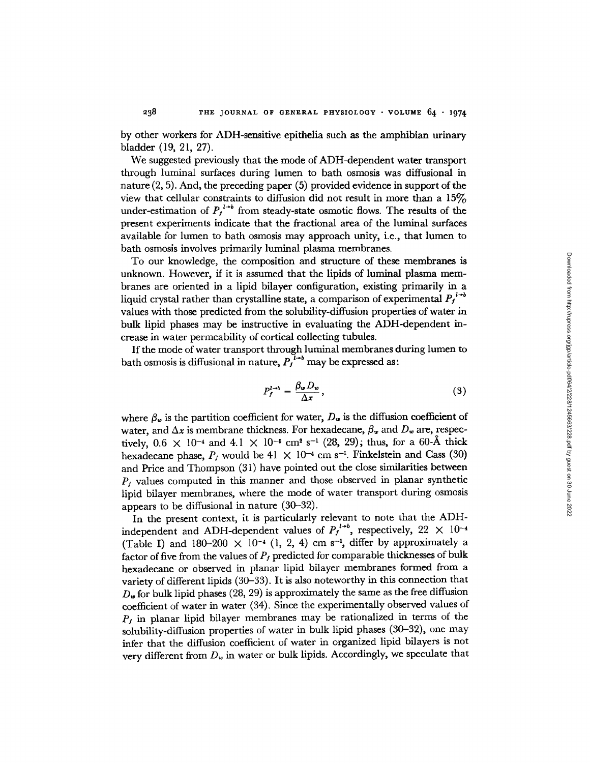by other workers for ADH-sensitive epithelia such as the amphibian urinary bladder (19, 21, 27).

238

We suggested previously that the mode of ADH-dependent water transport through luminal surfaces during lumen to bath osmosis was diffusional in nature (2, 5). And, the preceding paper (5) provided evidence in support of the view that cellular constraints to diffusion did not result in more than a  $15\%$ under-estimation of  $P_j^{l\rightarrow b}$  from steady-state osmotic flows. The results of the present experiments indicate that the fractional area of the luminal surfaces available for lumen to bath osmosis may approach unity, i.e., that lumen to bath osmosis involves primarily luminal plasma membranes.

To our knowledge, the composition and structure of these membranes is unknown. However, if it is assumed that the lipids of luminal plasma membranes are oriented in a lipid bilayer configuration, existing primarily in a liquid crystal rather than crystalline state, a comparison of experimental  $P_f^{l \rightarrow b}$ values with those predicted from the solubility-diffusion properties of water in bulk lipid phases may be instructive in evaluating the ADH-dependent increase in water permeability of cortical collecting tubules.

If the mode of water transport through luminal membranes during lumen to bath osmosis is diffusional in nature,  $P_I^{l+b}$  may be expressed as:

$$
P_f^{l \to b} = \frac{\beta_w D_w}{\Delta x},\tag{3}
$$

where  $\beta_w$  is the partition coefficient for water,  $D_w$  is the diffusion coefficient of water, and  $\Delta x$  is membrane thickness. For hexadecane,  $\beta_w$  and  $D_w$  are, respectively,  $0.6 \times 10^{-4}$  and  $4.1 \times 10^{-5}$  cm<sup>2</sup> s<sup>-1</sup> (28, 29); thus, for a 60-Å thick hexadecane phase,  $P_f$  would be 41  $\times$  10<sup>-4</sup> cm s<sup>-1</sup>. Finkelstein and Cass (30) and Price and Thompson (31) have pointed out the close similarities between  $P_f$  values computed in this manner and those observed in planar synthetic lipid bilayer membranes, where the mode of water transport during osmosis appears to be diffusional in nature (30-32).

In the present context, it is particularly relevant to note that the ADHindependent and ADH-dependent values of  $P_f^{l+b}$ , respectively, 22  $\times$  10<sup>-4</sup> (Table I) and 180-200  $\times$  10<sup>-4</sup> (1, 2, 4) cm s<sup>-1</sup>, differ by approximately a factor of five from the values of  $P_f$  predicted for comparable thicknesses of bulk hexadecane or observed in planar lipid bilayer membranes formed from a variety of different lipids (30-33). It is also noteworthy in this connection that  $D_{\nu}$  for bulk lipid phases (28, 29) is approximately the same as the free diffusion coefficient of water in water (34). Since the experimentally observed values of *Pf* in planar lipid bilayer membranes may be rationalized in terms of the solubility-diffusion properties of water in bulk lipid phases (30-32), one may infer that the diffusion coefficient of water in organized lipid bilayers is not very different from  $D_w$  in water or bulk lipids. Accordingly, we speculate that Downloaded from http://rupress.org/jgp/article-pdf/64/2/228/1245663/228.pdf by guest on 30 June 2022 Downloaded from http://rupress.org/jgp/article-pdf/64/2/228/1245663/228.pdf by guest on 30 June 2022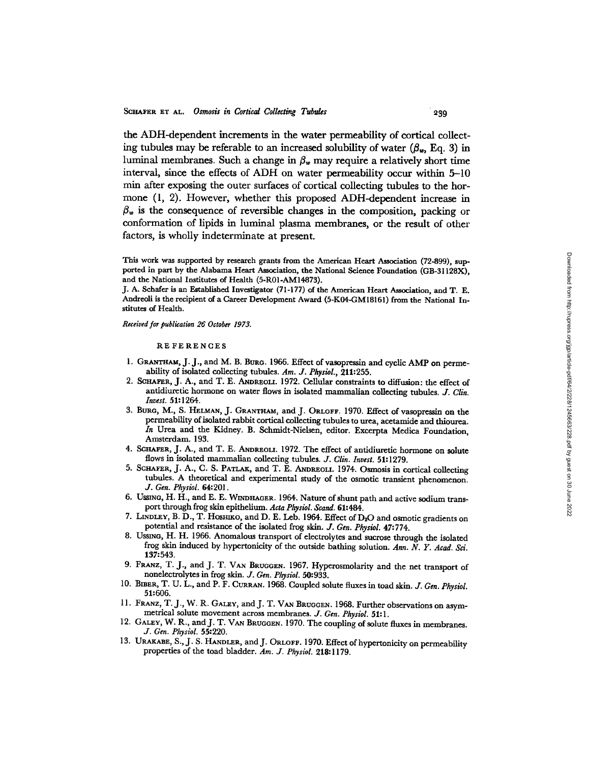the ADH-dependent increments in the water permeability of cortical collecting tubules may be referable to an increased solubility of water  $(\beta_w, Eq. 3)$  in luminal membranes. Such a change in  $\beta_w$  may require a relatively short time interval, since the effects of ADH on water permeability occur within 5-10 min after exposing the outer surfaces of cortical collecting tubules to the hormone (1, 2). However, whether this proposed ADH-dependent increase in  $\beta_{\nu}$  is the consequence of reversible changes in the composition, packing or conformation of lipids in luminal plasma membranes, or the result of other factors, is wholly indeterminate at present.

This work was supported by research grants from the American Heart Association (72-899), supported in part by the Alabama Heart Association, the National Science Foundation (GB-31128X), and the National Institutes of Health (5-R01-AM14873).

J. A. Schafer is an Established Investigator (71-177) of the American Heart Association, and T. E. Andreoli is the recipient of a Career Development Award (5-K04-GM18161) from the National Institutes of Health.

*Received for publication 26 October 1973.* 

#### REFERENCES

- 1. GRANTHAM, J. J., and M. B. BURG. 1966. Effect of vasopressin and cyclic AMP on permeability of isolated collecting tubules. *Am. J. Physiol.,* 211:255.
- 2. **SCHAFER,** J. A., and T. E. **ANDREOLI.** 1972. Cellular constraints to diffusion: the effect of antidiuretic hormone on water flows in isolated mammalian collecting tubules. *J. Clin. Invest.* 51:1264.
- 3. BURG, M., S. **HELMAN,** J. **GRANTHAM,** and J. **ORLOFF.** 1970. Effect of vasopressin on the permeability of isolated rabbit cortical collecting tubules to urea, acetamide and thiourea. *In* Urea and the Kidney. B. Schmidt-Nielsen, editor. Excerpta Medica Foundation, Amsterdam. 193.
- 4. **SCHAFER,** J. A., and T. E. **ANDREOLI.** 1972. The effect of antidiuretic hormone on solute flows in isolated mammalian collecting tubules. *J. Clin. Invest.* 51:1279.
- 5. **SCHAFER,** J. A., C. S. **PATLAX,** and T. E. **ANDREOLI.** 1974. Osmosis in cortical collecting tubules. A theoretical and experimental study of the osmotic transient phenomenon. *J. Gen. Physiol.* 64:201.
- 6. USSING, H. H., and E. E. **WINDHAGER.** 1964. Nature of shunt path and active sodium transport through frog skin epithelium. *Acta Physiol. Scand.* 61:484.
- 7. **LINDLEY,** B. D., T. HOSHmxo, and D. E. Leb. 1964. Effect of **D <sup>2</sup> <sup>0</sup>**and osmotic gradients on potential and resistance of the isolated frog skin. *J. Gen. Physiol.* 47:774.
- 8. UssING, H. H. 1966. Anomalous transport of electrolytes and sucrose through the isolated frog skin induced by hypertonicity of the outside bathing solution. *Ann. N. Y. Acad. Sci.* 137:543.
- 9. FRANZ, T. J., and J. T. VAN **BRUGGEN.** 1967. Hyperosmolarity and the net transport of nonelectrolytes in frog skin. *J. Gen. Physiol.* 50:933.
- 10. **BIBER,** T. U. L., and P. F. **CURRAN.** 1968. Coupled solute fluxes in toad skin. *J. Gen. Physiol.* 51:606.
- 11. **FRANZ,** T. J., W. R. **GALEY,** and J. T. VAN BRUGGEN. 1968. Further observations on asymmetrical solute movement across membranes. *J. Gen. Physiol.* 51:1.
- 12. **GALEY,** W. R., and J. T. **VAN BRUGGEN.** 1970. The coupling of solute fluxes in membranes. *J. Gen. Physiol.* 55:220.
- 13. URAKABE, S., J. S. **HANDLER,** and J. **ORLOFF.** 1970. Effect of hypertonicity on permeability properties of the toad bladder. *Am. J. Physiol.* 218:1179.